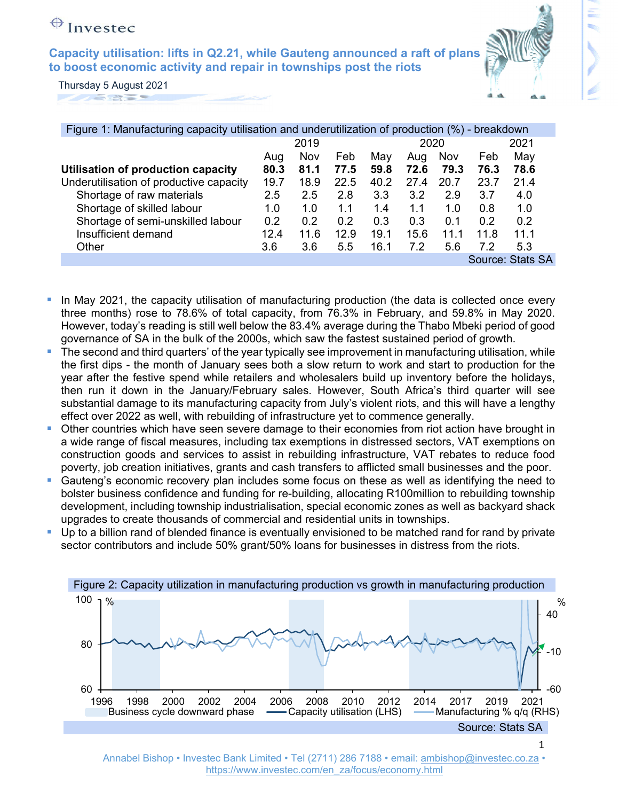**to boost economic activity and repair in townships post the riots Capacity utilisation: lifts in Q2.21, while Gauteng announced a raft of plans** 



Thursday 5 August 2021 

| Figure 1: Manufacturing capacity utilisation and underutilization of production (%) - breakdown |      |      |      |      |      |      |      |                  |
|-------------------------------------------------------------------------------------------------|------|------|------|------|------|------|------|------------------|
|                                                                                                 | 2019 |      |      | 2020 |      |      | 2021 |                  |
|                                                                                                 | Aug  | Nov  | Feb  | May  | Aug  | Nov  | Feb  | May              |
| Utilisation of production capacity                                                              | 80.3 | 81.1 | 77.5 | 59.8 | 72.6 | 79.3 | 76.3 | 78.6             |
| Underutilisation of productive capacity                                                         | 19.7 | 18.9 | 22.5 | 40.2 | 27.4 | 20.7 | 23.7 | 21.4             |
| Shortage of raw materials                                                                       | 2.5  | 2.5  | 2.8  | 3.3  | 3.2  | 2.9  | 3.7  | 4.0              |
| Shortage of skilled labour                                                                      | 1.0  | 1.0  | 1.1  | 1.4  | 1.1  | 1.0  | 0.8  | 1.0              |
| Shortage of semi-unskilled labour                                                               | 0.2  | 0.2  | 0.2  | 0.3  | 0.3  | 0.1  | 0.2  | 0.2              |
| Insufficient demand                                                                             | 12.4 | 11.6 | 12.9 | 19.1 | 15.6 | 11.1 | 11.8 | 11.1             |
| Other                                                                                           | 3.6  | 3.6  | 5.5  | 16.1 | 7.2  | 5.6  | 7.2  | 5.3              |
|                                                                                                 |      |      |      |      |      |      |      | Source: Stats SA |

- In May 2021, the capacity utilisation of manufacturing production (the data is collected once every three months) rose to 78.6% of total capacity, from 76.3% in February, and 59.8% in May 2020. However, today's reading is still well below the 83.4% average during the Thabo Mbeki period of good governance of SA in the bulk of the 2000s, which saw the fastest sustained period of growth.
- The second and third quarters' of the year typically see improvement in manufacturing utilisation, while the first dips - the month of January sees both a slow return to work and start to production for the year after the festive spend while retailers and wholesalers build up inventory before the holidays, then run it down in the January/February sales. However, South Africa's third quarter will see substantial damage to its manufacturing capacity from July's violent riots, and this will have a lengthy effect over 2022 as well, with rebuilding of infrastructure yet to commence generally.
- **Other countries which have seen severe damage to their economies from riot action have brought in** a wide range of fiscal measures, including tax exemptions in distressed sectors, VAT exemptions on construction goods and services to assist in rebuilding infrastructure, VAT rebates to reduce food poverty, job creation initiatives, grants and cash transfers to afflicted small businesses and the poor.
- Gauteng's economic recovery plan includes some focus on these as well as identifying the need to bolster business confidence and funding for re-building, allocating R100million to rebuilding township development, including township industrialisation, special economic zones as well as backyard shack upgrades to create thousands of commercial and residential units in townships.
- Up to a billion rand of blended finance is eventually envisioned to be matched rand for rand by private sector contributors and include 50% grant/50% loans for businesses in distress from the riots.



Annabel Bishop • Investec Bank Limited • Tel (2711) 286 7188 • email: ambishop@investec.co.za • https://www.investec.com/en\_za/focus/economy.html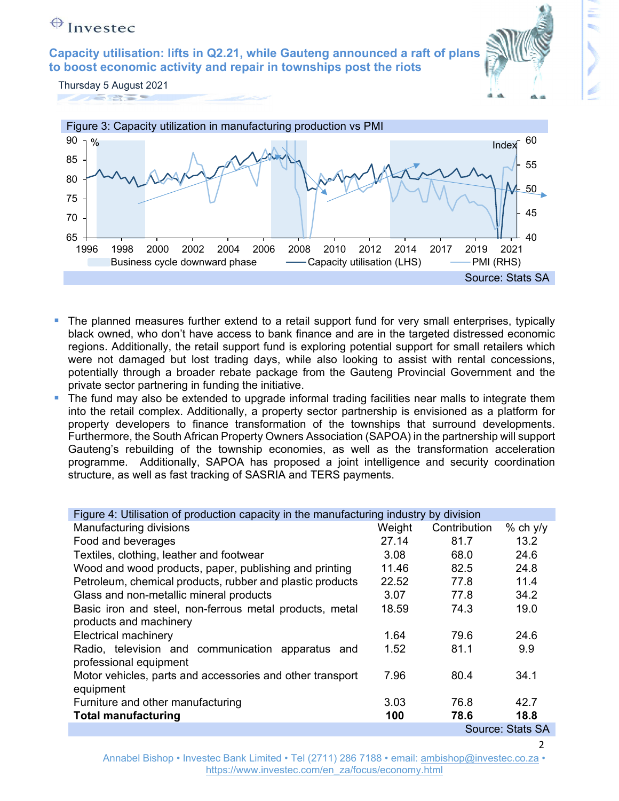**to boost economic activity and repair in townships post the riots Capacity utilisation: lifts in Q2.21, while Gauteng announced a raft of plans** 

Thursday 5 August 2021 **PARTIES** 



- The planned measures further extend to a retail support fund for very small enterprises, typically black owned, who don't have access to bank finance and are in the targeted distressed economic regions. Additionally, the retail support fund is exploring potential support for small retailers which were not damaged but lost trading days, while also looking to assist with rental concessions, potentially through a broader rebate package from the Gauteng Provincial Government and the private sector partnering in funding the initiative.
- The fund may also be extended to upgrade informal trading facilities near malls to integrate them into the retail complex. Additionally, a property sector partnership is envisioned as a platform for property developers to finance transformation of the townships that surround developments. Furthermore, the South African Property Owners Association (SAPOA) in the partnership will support Gauteng's rebuilding of the township economies, as well as the transformation acceleration programme. Additionally, SAPOA has proposed a joint intelligence and security coordination structure, as well as fast tracking of SASRIA and TERS payments.

| Figure 4: Utilisation of production capacity in the manufacturing industry by division |        |              |                  |  |  |
|----------------------------------------------------------------------------------------|--------|--------------|------------------|--|--|
| Manufacturing divisions                                                                | Weight | Contribution | $%$ ch y/y       |  |  |
| Food and beverages                                                                     | 27.14  | 81.7         | 13.2             |  |  |
| Textiles, clothing, leather and footwear                                               | 3.08   | 68.0         | 24.6             |  |  |
| Wood and wood products, paper, publishing and printing                                 | 11.46  | 82.5         | 24.8             |  |  |
| Petroleum, chemical products, rubber and plastic products                              | 22.52  | 77.8         | 11.4             |  |  |
| Glass and non-metallic mineral products                                                | 3.07   | 77.8         | 34.2             |  |  |
| Basic iron and steel, non-ferrous metal products, metal                                | 18.59  | 74.3         | 19.0             |  |  |
| products and machinery                                                                 |        |              |                  |  |  |
| <b>Electrical machinery</b>                                                            | 1.64   | 79.6         | 24.6             |  |  |
| Radio, television and communication apparatus and                                      | 1.52   | 81.1         | 9.9              |  |  |
| professional equipment                                                                 |        |              |                  |  |  |
| Motor vehicles, parts and accessories and other transport                              | 7.96   | 80.4         | 34.1             |  |  |
| equipment                                                                              |        |              |                  |  |  |
| Furniture and other manufacturing                                                      | 3.03   | 76.8         | 42.7             |  |  |
| <b>Total manufacturing</b>                                                             | 100    | 78.6         | 18.8             |  |  |
|                                                                                        |        |              | Source: Stats SA |  |  |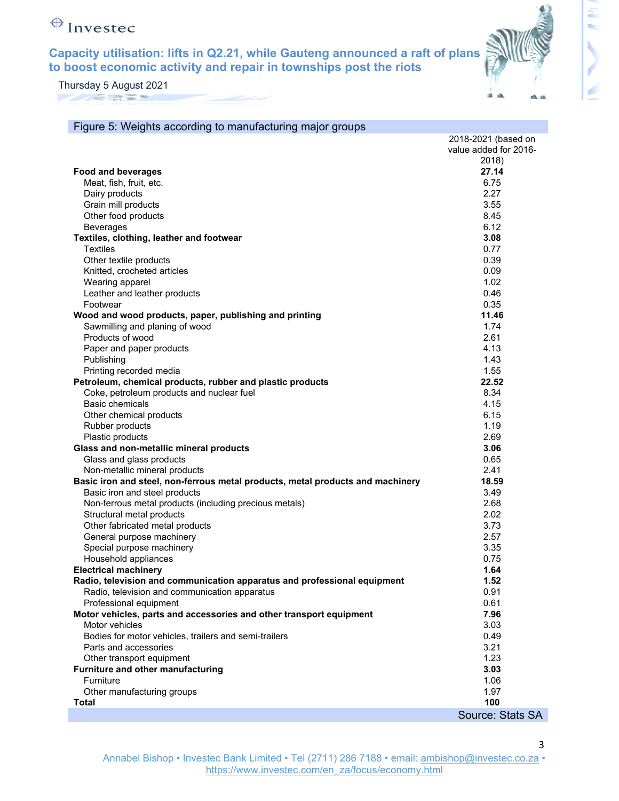**Capacity utilisation: lifts in Q2.21, while Gauteng announced a raft of plans to boost economic activity and repair in townships post the riots** 



Thursday 5 August 2021 **MAGRET** 

| Figure 5: Weights according to manufacturing major groups                      |                       |
|--------------------------------------------------------------------------------|-----------------------|
|                                                                                | 2018-2021 (based on   |
|                                                                                | value added for 2016- |
|                                                                                | 2018)                 |
| <b>Food and beverages</b>                                                      | 27.14                 |
| Meat, fish, fruit, etc.                                                        | 6.75                  |
| Dairy products                                                                 | 2.27                  |
| Grain mill products                                                            | 3.55                  |
| Other food products                                                            | 8.45                  |
| <b>Beverages</b>                                                               | 6.12                  |
| Textiles, clothing, leather and footwear                                       | 3.08                  |
| <b>Textiles</b>                                                                | 0.77                  |
| Other textile products                                                         | 0.39                  |
| Knitted, crocheted articles                                                    | 0.09                  |
| Wearing apparel                                                                | 1.02                  |
| Leather and leather products                                                   | 0.46                  |
| Footwear                                                                       | 0.35                  |
| Wood and wood products, paper, publishing and printing                         | 11.46                 |
| Sawmilling and planing of wood                                                 | 1.74                  |
| Products of wood                                                               | 2.61                  |
| Paper and paper products                                                       | 4.13                  |
| Publishing                                                                     | 1.43                  |
| Printing recorded media                                                        | 1.55                  |
| Petroleum, chemical products, rubber and plastic products                      | 22.52                 |
| Coke, petroleum products and nuclear fuel                                      | 8.34                  |
| <b>Basic chemicals</b>                                                         | 4.15                  |
| Other chemical products                                                        | 6.15                  |
| Rubber products                                                                | 1.19                  |
| Plastic products                                                               | 2.69                  |
| Glass and non-metallic mineral products                                        | 3.06                  |
| Glass and glass products                                                       | 0.65                  |
| Non-metallic mineral products                                                  | 2.41                  |
| Basic iron and steel, non-ferrous metal products, metal products and machinery | 18.59                 |
| Basic iron and steel products                                                  | 3.49                  |
| Non-ferrous metal products (including precious metals)                         | 2.68                  |
| Structural metal products                                                      | 2.02                  |
| Other fabricated metal products                                                | 3.73                  |
| General purpose machinery                                                      | 2.57                  |
| Special purpose machinery                                                      | 3.35                  |
| Household appliances                                                           | 0.75                  |
| <b>Electrical machinery</b>                                                    | 1.64                  |
| Radio, television and communication apparatus and professional equipment       | 1.52                  |
| Radio, television and communication apparatus                                  | 0.91                  |
| Professional equipment                                                         | 0.61                  |
| Motor vehicles, parts and accessories and other transport equipment            | 7.96                  |
| Motor vehicles                                                                 | 3.03                  |
| Bodies for motor vehicles, trailers and semi-trailers                          | 0.49                  |
| Parts and accessories                                                          | 3.21                  |
| Other transport equipment                                                      | 1.23                  |
| Furniture and other manufacturing                                              | 3.03                  |
| Furniture                                                                      | 1.06                  |
| Other manufacturing groups                                                     | 1.97                  |
| <b>Total</b>                                                                   | 100                   |
|                                                                                | Source: Stats SA      |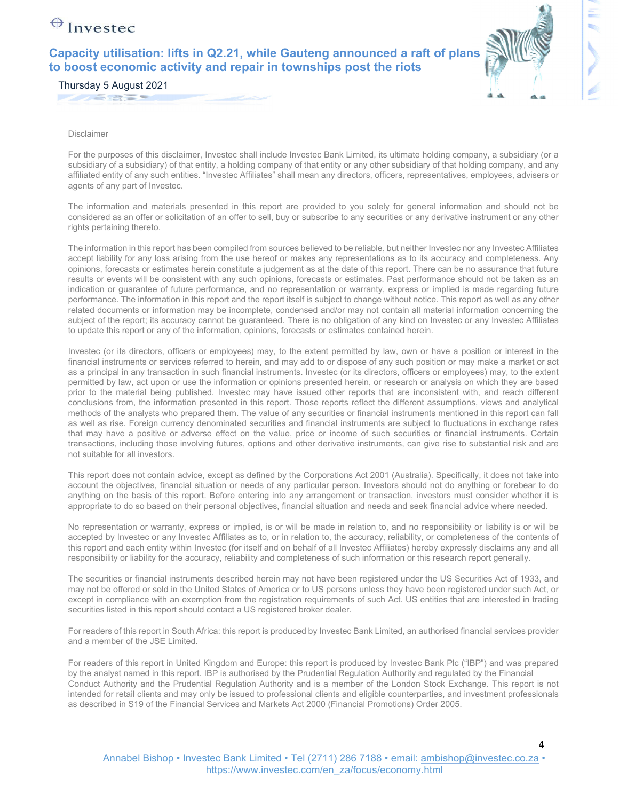**Capacity utilisation: lifts in Q2.21, while Gauteng announced a raft of plans to boost economic activity and repair in townships post the riots** 



Thursday 5 August 2021

**ANGELES** 

Disclaimer

For the purposes of this disclaimer, Investec shall include Investec Bank Limited, its ultimate holding company, a subsidiary (or a subsidiary of a subsidiary) of that entity, a holding company of that entity or any other subsidiary of that holding company, and any affiliated entity of any such entities. "Investec Affiliates" shall mean any directors, officers, representatives, employees, advisers or agents of any part of Investec.

The information and materials presented in this report are provided to you solely for general information and should not be considered as an offer or solicitation of an offer to sell, buy or subscribe to any securities or any derivative instrument or any other rights pertaining thereto.

The information in this report has been compiled from sources believed to be reliable, but neither Investec nor any Investec Affiliates accept liability for any loss arising from the use hereof or makes any representations as to its accuracy and completeness. Any opinions, forecasts or estimates herein constitute a judgement as at the date of this report. There can be no assurance that future results or events will be consistent with any such opinions, forecasts or estimates. Past performance should not be taken as an indication or guarantee of future performance, and no representation or warranty, express or implied is made regarding future performance. The information in this report and the report itself is subject to change without notice. This report as well as any other related documents or information may be incomplete, condensed and/or may not contain all material information concerning the subject of the report; its accuracy cannot be guaranteed. There is no obligation of any kind on Investec or any Investec Affiliates to update this report or any of the information, opinions, forecasts or estimates contained herein.

Investec (or its directors, officers or employees) may, to the extent permitted by law, own or have a position or interest in the financial instruments or services referred to herein, and may add to or dispose of any such position or may make a market or act as a principal in any transaction in such financial instruments. Investec (or its directors, officers or employees) may, to the extent permitted by law, act upon or use the information or opinions presented herein, or research or analysis on which they are based prior to the material being published. Investec may have issued other reports that are inconsistent with, and reach different conclusions from, the information presented in this report. Those reports reflect the different assumptions, views and analytical methods of the analysts who prepared them. The value of any securities or financial instruments mentioned in this report can fall as well as rise. Foreign currency denominated securities and financial instruments are subject to fluctuations in exchange rates that may have a positive or adverse effect on the value, price or income of such securities or financial instruments. Certain transactions, including those involving futures, options and other derivative instruments, can give rise to substantial risk and are not suitable for all investors.

This report does not contain advice, except as defined by the Corporations Act 2001 (Australia). Specifically, it does not take into account the objectives, financial situation or needs of any particular person. Investors should not do anything or forebear to do anything on the basis of this report. Before entering into any arrangement or transaction, investors must consider whether it is appropriate to do so based on their personal objectives, financial situation and needs and seek financial advice where needed.

No representation or warranty, express or implied, is or will be made in relation to, and no responsibility or liability is or will be accepted by Investec or any Investec Affiliates as to, or in relation to, the accuracy, reliability, or completeness of the contents of this report and each entity within Investec (for itself and on behalf of all Investec Affiliates) hereby expressly disclaims any and all responsibility or liability for the accuracy, reliability and completeness of such information or this research report generally.

The securities or financial instruments described herein may not have been registered under the US Securities Act of 1933, and may not be offered or sold in the United States of America or to US persons unless they have been registered under such Act, or except in compliance with an exemption from the registration requirements of such Act. US entities that are interested in trading securities listed in this report should contact a US registered broker dealer.

For readers of this report in South Africa: this report is produced by Investec Bank Limited, an authorised financial services provider and a member of the JSE Limited.

For readers of this report in United Kingdom and Europe: this report is produced by Investec Bank Plc ("IBP") and was prepared by the analyst named in this report. IBP is authorised by the Prudential Regulation Authority and regulated by the Financial Conduct Authority and the Prudential Regulation Authority and is a member of the London Stock Exchange. This report is not intended for retail clients and may only be issued to professional clients and eligible counterparties, and investment professionals as described in S19 of the Financial Services and Markets Act 2000 (Financial Promotions) Order 2005.

Annabel Bishop • Investec Bank Limited • Tel (2711) 286 7188 • email: ambishop@investec.co.za • https://www.investec.com/en\_za/focus/economy.html

4